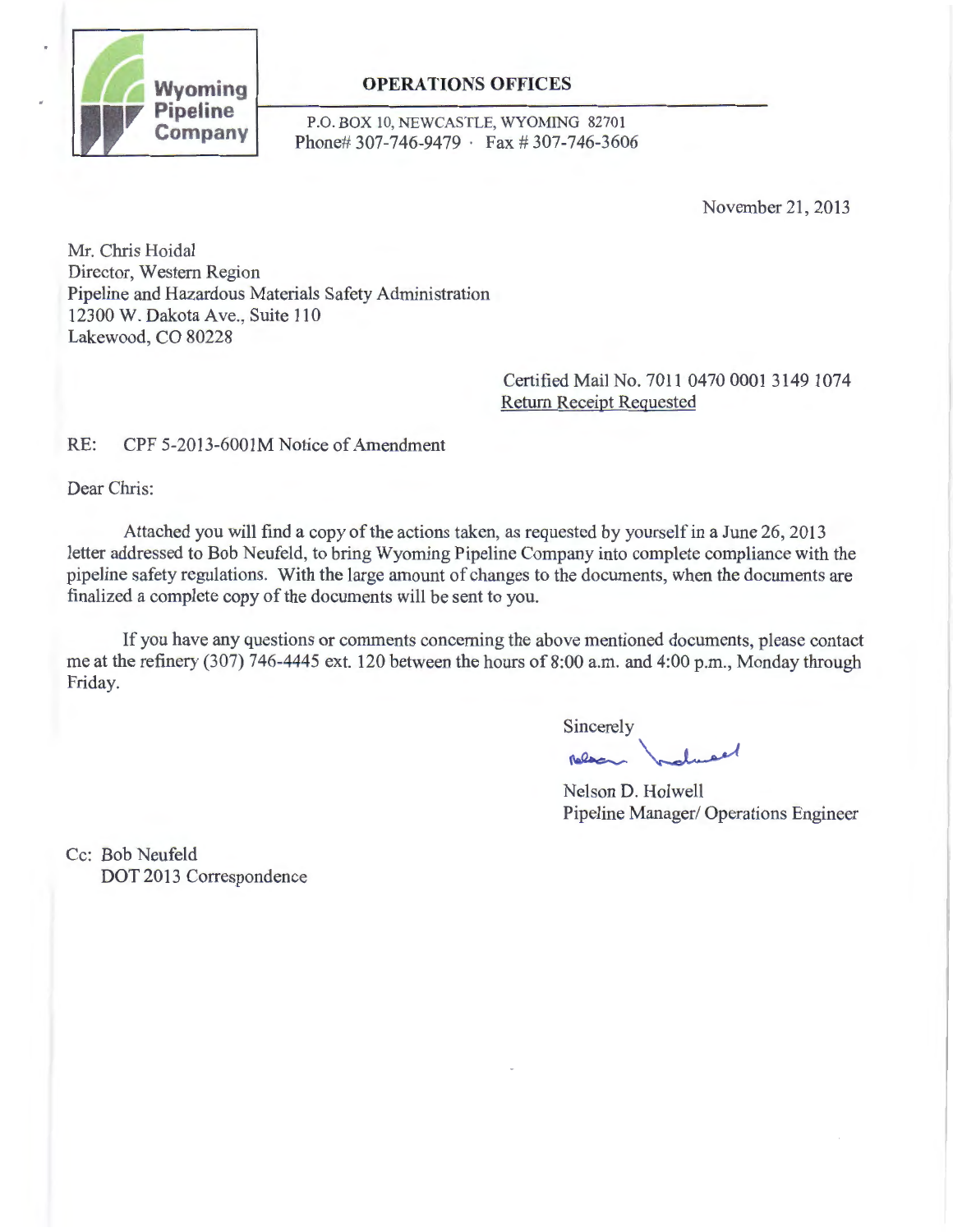

**P**.O. BOX 10, NEWCASTLE, WYOMING 82701<br>**Company** Blog at 207, 746, 0470 <u>.</u> Fax # 207, 746, 260 Phone# 307-746-9479 · Fax # 307-746-3606

November 21,2013

Mr. Chris Hoidal Director, Western Region Pipeline and Hazardous Materials Safety Administration 12300 W. Dakota Ave., Suite 110 Lakewood, CO 80228

> Certified Mail No. 7011 0470 0001 3149 1074 Return Receipt Requested

# RE: CPF 5-2013-6001M Notice of Amendment

Dear Chris:

Attached you will find a copy of the actions taken, as requested by yourself in a June 26, 2013 letter addressed to Bob Neufeld, to bring Wyoming Pipeline Company into complete compliance with the pipeline safety regulations. With the large amount of changes to the documents, when the documents are finalized a complete copy of the documents will be sent to you.

If you have any questions or comments concerning the above mentioned documents, please contact me at the refinery (307) 746-4445 ext. 120 between the hours of 8:00 a.m. and 4:00 p.m., Monday through Friday.

Sincerely Sincerely<br>Relax holmed

Nelson D. Holwell Pipeline Manager/ Operations Engineer

Cc: Bob Neufeld DOT 2013 Correspondence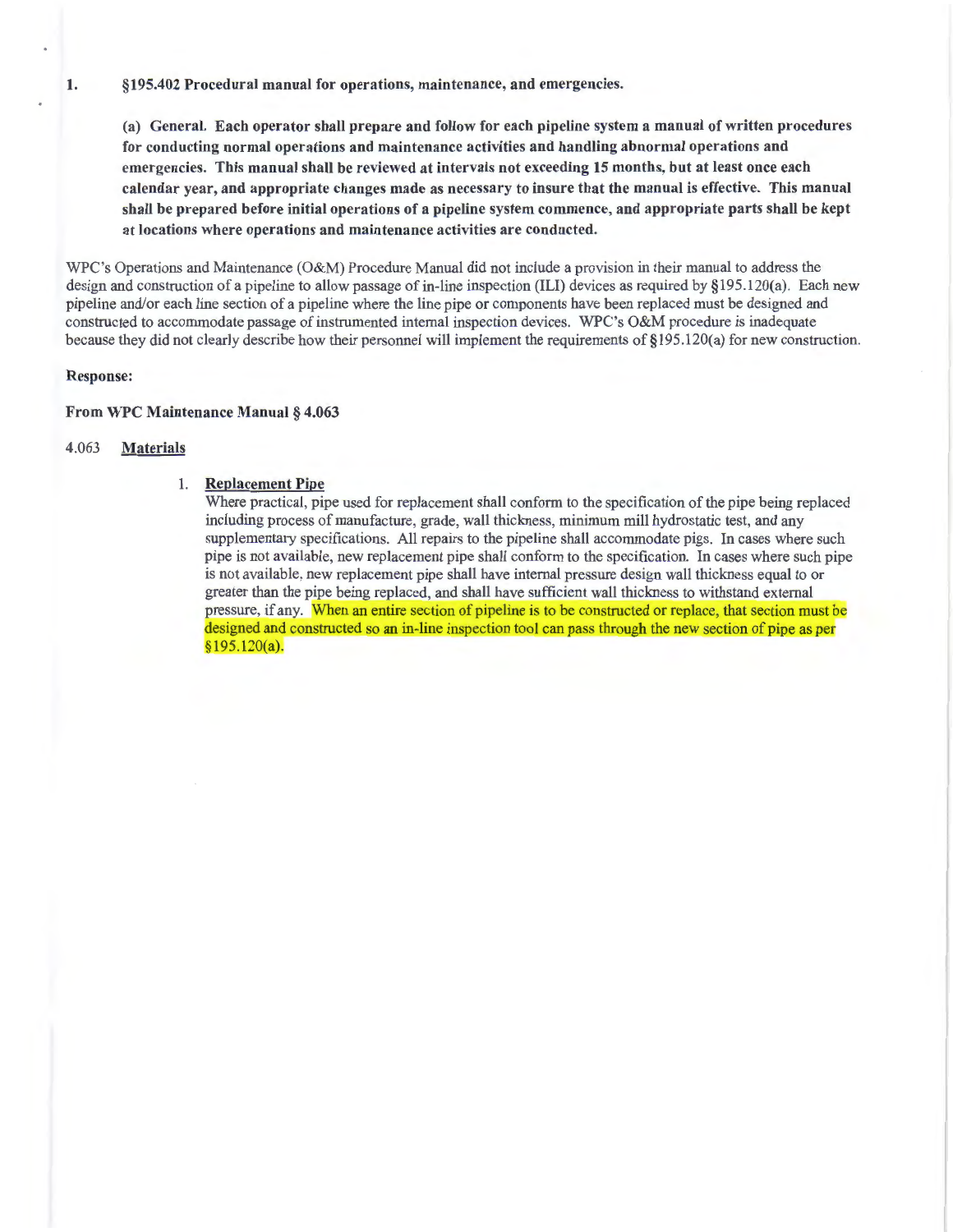(a) General. Each operator shall prepare and follow for each pipeline system a manual of written procedures for conducting normal operations and maintenance activities and handling abnormal operations and emergencies. This manual shall be reviewed at intervals not exceeding 15 months, but at least once each calendar year, and appropriate changes made as necessary to insure that the manual is effective. This manual shall be prepared before initial operations of a pipeline system commence, and appropriate parts shall be kept at locations where operations and maintenance activities are conducted.

WPC's Operations and Maintenance (O&M) Procedure Manual did not include a provision in their manual to address the design and construction of a pipeline to allow passage of in-line inspection (ILl) devices as required by §195.120(a). Each new pipeline and/or each line section of a pipeline where the line pipe or components have been replaced must be designed and constructed to accommodate passage of instrumented internal inspection devices. WPC's O&M procedure is inadequate because they did not clearly describe how their personnel will implement the requirements of §195.120(a) for new construction.

### Response:

#### From WPC Maintenance Manual § 4.063

#### 4.063 Materials

#### 1. Replacement Pipe

Where practical, pipe used for replacement shall conform to the specification of the pipe being replaced including process of manufacture, grade, wall thickness, minimum mill hydrostatic test, and any supplementary specifications. All repairs to the pipeline shall accommodate pigs. In cases where such pipe is not available, new replacement pipe shall conform to the specification. In cases where such pipe is not available, new replacement pipe shall have internal pressure design wall thickness equal to or greater than the pipe being replaced, and shall have sufficient wall thickness to withstand external pressure, if any. When an entire section of pipeline is to be constructed or replace, that section must be designed and constructed so an in-line inspection tool can pass through the new section of pipe as per  $$195.120(a).$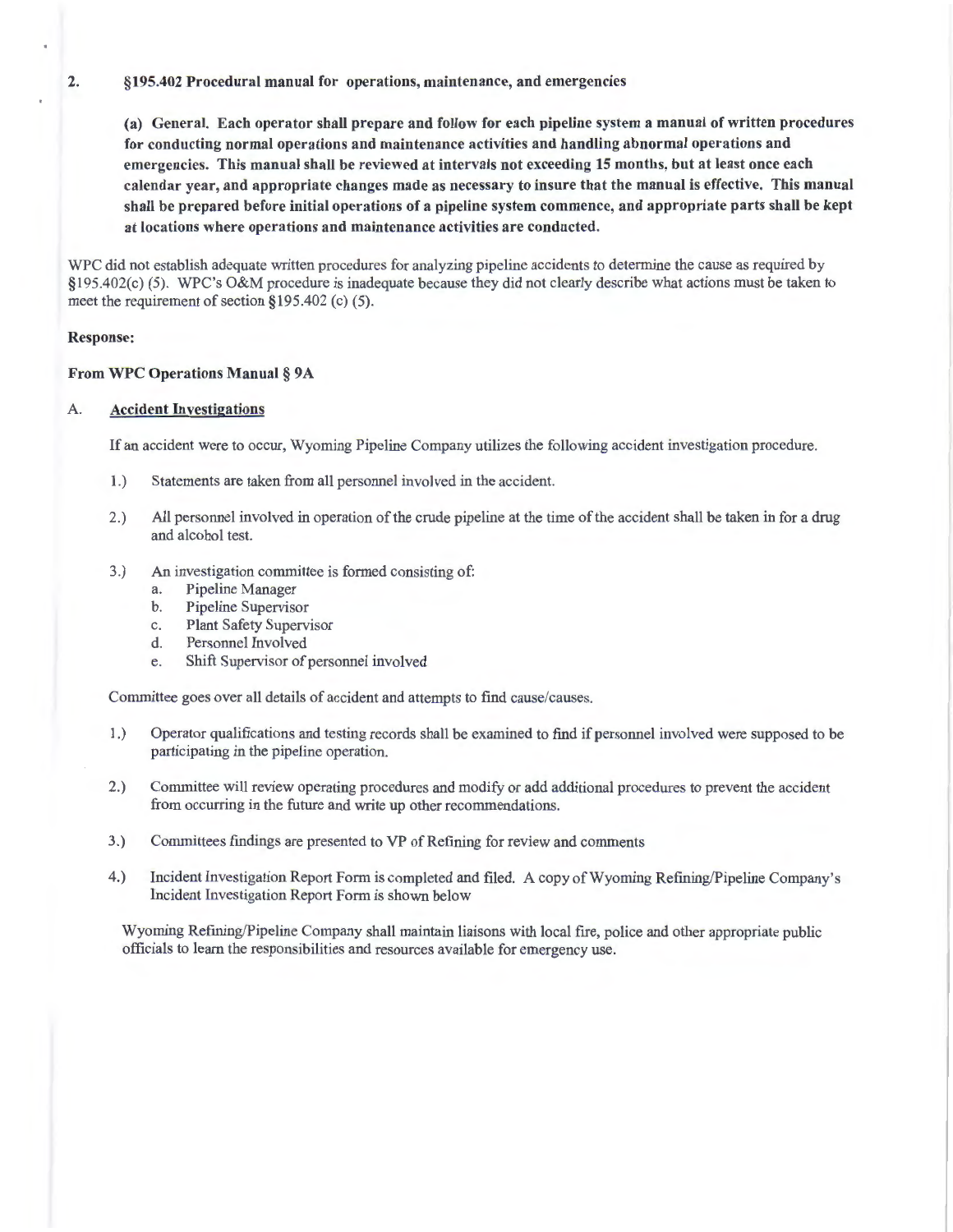(a) General. Each operator shall prepare and follow for each pipeline system a manual of written procedures for conducting normal operations and maintenance activities and handling abnormal operations and emergencies. This manual shall be reviewed at intervals not exceeding 15 months, but at least once each calendar year, and appropriate changes made as necessary to insure that the manual is effective. This manual shall be prepared before initial operations of a pipeline system commence, and appropriate parts shall be kept at locations where operations and maintenance activities are conducted.

WPC did not establish adequate written procedures for analyzing pipeline accidents to determine the cause as required by §195.402(c) (5). WPC's O&M procedure is inadequate because they did not clearly describe what actions must be taken to meet the requirement of section §195.402 (c) (5).

#### Response:

#### From WPC Operations Manual § 9A

### A. Accident Investigations

If an accident were to occur, Wyoming Pipeline Company utilizes the following accident investigation procedure.

- 1.) Statements are taken from all personnel involved in the accident.
- 2.) All personnel involved in operation of the crude pipeline at the time of the accident shall be taken in for a drug and alcohol test.
- 3.) An investigation committee is formed consisting of:
	- a. Pipeline Manager
	- b. Pipeline Supervisor
	- c. Plant Safety Supervisor
	- d. Personnel Involved
	- e. Shift Supervisor of personnel involved

Committee goes over all details of accident and attempts to find cause/causes.

- 1.) Operator qualifications and testing records shall be examined to fmd if personnel involved were supposed to be participating in the pipeline operation.
- 2.) Committee will review operating procedures and modify or add additional procedures to prevent the accident from occurring in the future and write up other recommendations.
- 3.) Committees findings are presented to VP of Refining for review and comments
- 4.) Incident Investigation Report Form is completed and filed. A copy of Wyoming Refining/Pipeline Company's Incident Investigation Report Form is shown below

Wyoming Refming/Pipeline Company shall maintain liaisons with local fire, police and other appropriate public officials to learn the responsibilities and resources available for emergency use.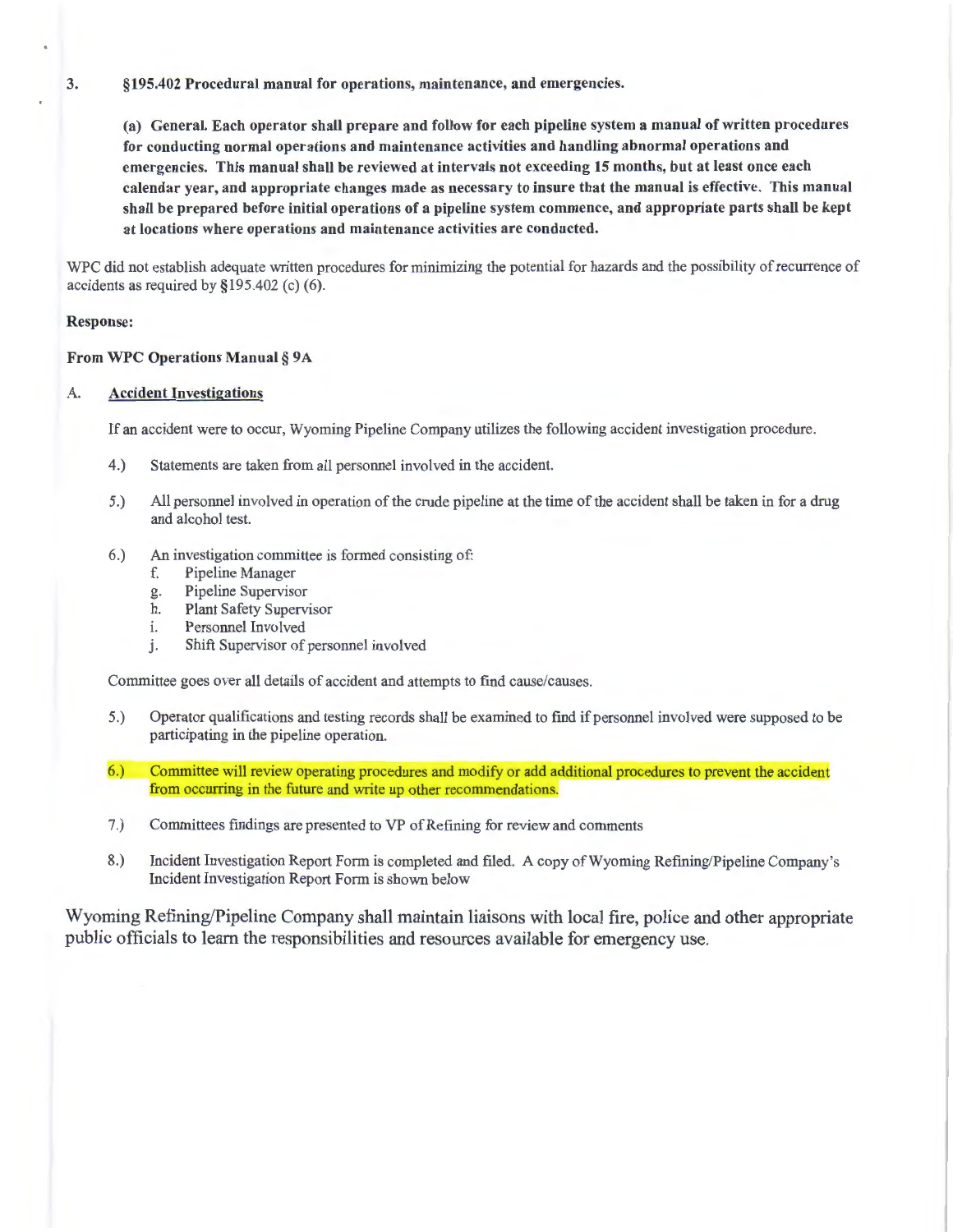(a) General. Each operator shall prepare and follow for each pipeline system a manual of written procedures for conducting normal operations and maintenance activities and handling abnormal operations and emergencies. This manual shall be reviewed at intervals not exceeding 15 months, but at least once each calendar year, and appropriate changes made as necessary to insure that the manual is effective. This manual shall be prepared before initial operations of a pipeline system commence, and appropriate parts shall be kept at locations where operations and maintenance activities are conducted.

WPC did not establish adequate written procedures for minimizing the potential for hazards and the possibility of recurrence of accidents as required by §195.402 (c) (6).

#### Response:

#### From WPC Operations Manual§ 9A

# A. Accident Investigations

If an accident were to occur, Wyoming Pipeline Company utilizes the following accident investigation procedure.

- 4.) Statements are taken from all personnel involved in the accident.
- 5.) All personnel involved in operation of the crude pipeline at the time of the accident shall be taken in for a drug and alcohol test.
- 6.) An investigation committee is formed consisting of:
	- f. Pipeline Manager
	- g. Pipeline Supervisor
	- h. Plant Safety Supervisor
	- 1. Personnel Involved
	- j. Shift Supervisor of personnel involved

Committee goes over all details of accident and attempts to find cause/causes.

- 5.) Operator qualifications and testing records shall be examined to find if personnel involved were supposed to be participating in the pipeline operation.
- 6.) Committee will review operating procedures and modify or add additional procedures to prevent the accident from occurring in the future and write up other recommendations.
- 7.) Committees findings are presented to VP of Refining for review and comments
- 8.) Incident Investigation Report Form is completed and filed. A copy of Wyoming Refming/Pipeline Company's Incident Investigation Report Form is shown below

Wyoming Refining/Pipeline Company shall maintain liaisons with local fire, police and other appropriate public officials to learn the responsibilities and resources available for emergency use.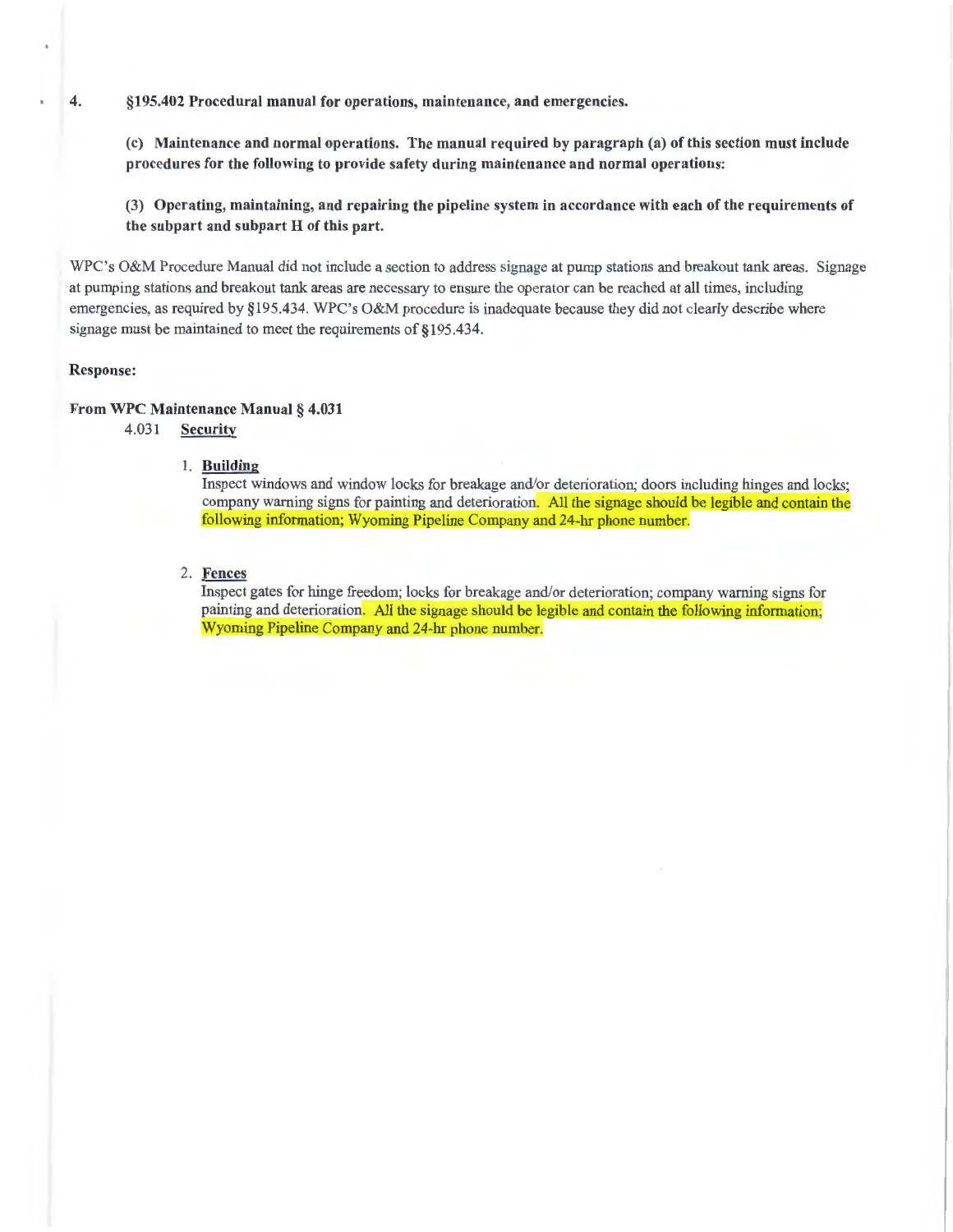(c) Maintenance and normal operations. The manual required by paragraph (a) of this section must include procedures for the following to provide safety during maintenance and normal operations:

(3) Operating, maintaining, and repairing the pipeline system in accordance with each of the requirements of the subpart and subpart H of this part.

WPC's O&M Procedure Manual did not include a section to address signage at pump stations and breakout tank areas. Signage at pumping stations and breakout tank areas are necessary to ensure the operator can be reached at all times, including emergencies, as required by §195.434. WPC's O&M procedure is inadequate because they did not clearly describe where signage must be maintained to meet the requirements of §195.434.

#### Response:

#### From WPC Maintenance Manual§ 4.031

4.031 Security

#### 1. Building

Inspect windows and window locks for breakage and/or deterioration; doors including hinges and locks; company warning signs for painting and deterioration. All the signage should be legible and contain the following information; Wyoming Pipeline Company and 24-hr phone number.

# 2. Fences

Inspect gates for hinge freedom; locks for breakage and/or deterioration; company warning signs for painting and deterioration. All the signage should be legible and contain the following information; Wyoming Pipeline Company and 24-hr phone number.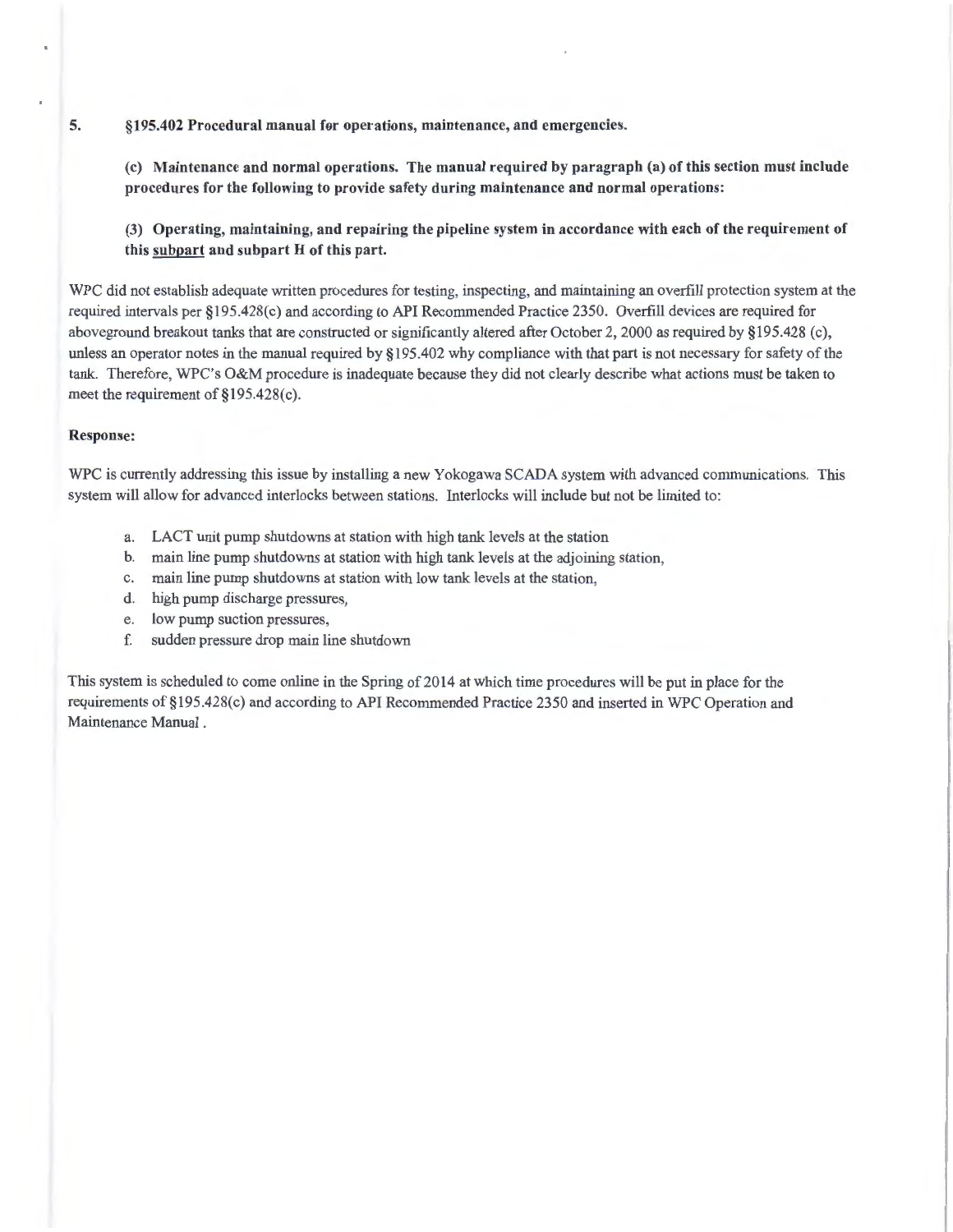(c) Maintenance and normal operations. The manual required by paragraph (a) of this section must include procedures for the following to provide safety during maintenance and normal operations:

(3) Operating, maintaining, and repairing the pipeline system in accordance with each of the requirement of this subpart and subpart H of this part.

WPC did not establish adequate written procedures for testing, inspecting, and maintaining an overfill protection system at the required intervals per §195.428(c) and according to API Recommended Practice 2350. Overfill devices are required for aboveground breakout tanks that are constructed or significantly altered after October 2, 2000 as required by §195.428 (c), unless an operator notes in the manual required by §195.402 why compliance with that part is not necessary for safety of the tank. Therefore, WPC's O&M procedure is inadequate because they did not clearly describe what actions must be taken to meet the requirement of §195.428(c).

#### Response:

WPC is currently addressing this issue by installing a new Yokogawa SCADA system with advanced communications. This system will allow for advanced interlocks between stations. Interlocks will include but not be limited to:

- a. LACT unit pump shutdowns at station with high tank levels at the station
- b. main line pump shutdowns at station with high tank levels at the adjoining station,
- c. main line pump shutdowns at station with low tank levels at the station,
- d. high pump discharge pressures,
- e. low pump suction pressures,
- f. sudden pressure drop main line shutdown

This system is scheduled to come online in the Spring of 2014 at which time procedures will be put in place for the requirements of§195.428(c) and according to API Recommended Practice 2350 and inserted in WPC Operation and Maintenance Manual .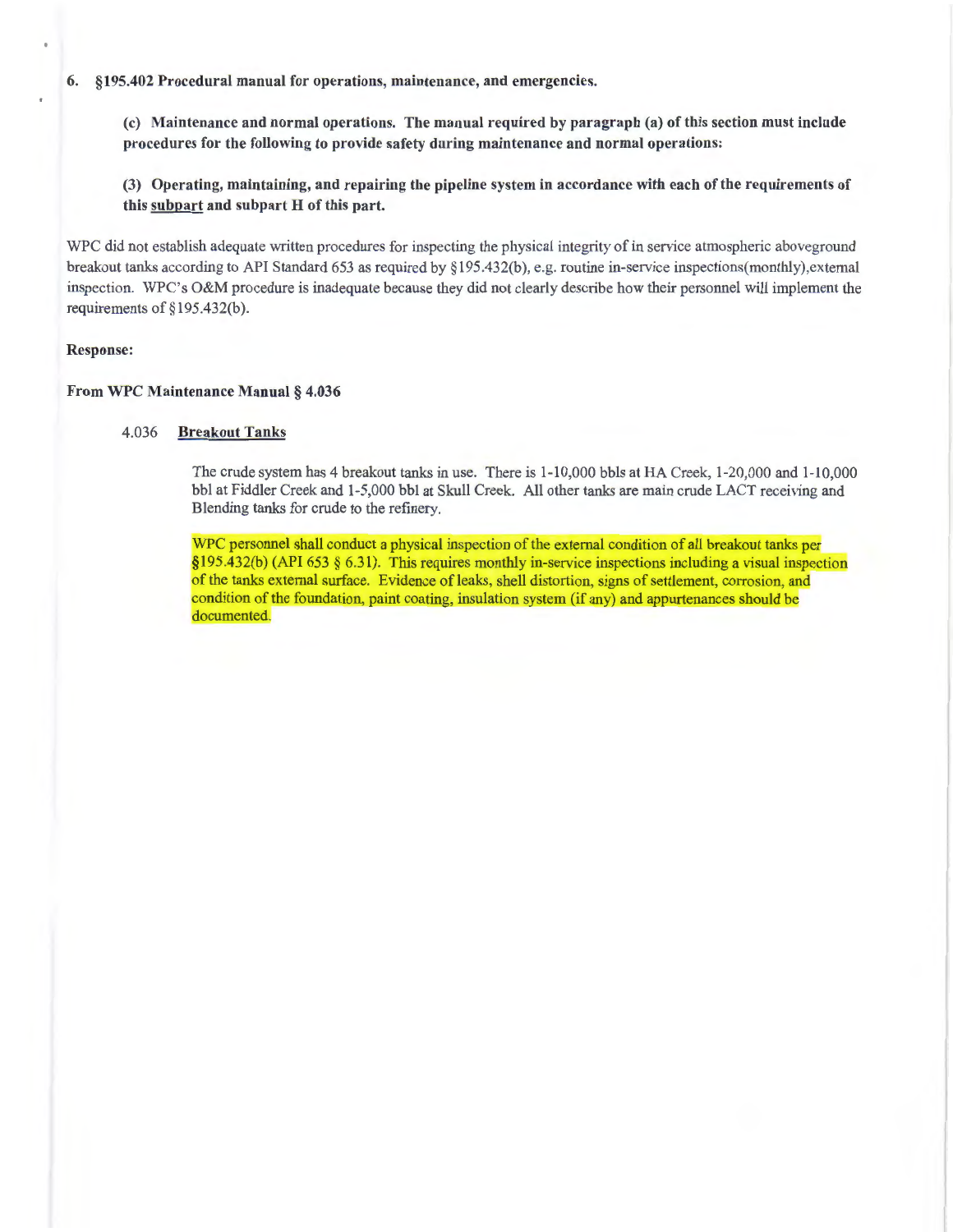(c) Maintenance and normal operations. The manual required by paragraph (a) of this section must include procedures for the following to provide safety during maintenance and normal operations:

(3) Operating, maintaining, and repairing the pipeline system in accordance with each of the requirements of this subpart and subpart H of this part.

WPC did not establish adequate written procedures for inspecting the physical integrity of in service atmospheric aboveground breakout tanks according to API Standard 653 as required by §195.432(b), e.g. routine in-service inspections(monthly), external inspection. WPC's O&M procedure is inadequate because they did not clearly describe how their personnel will implement the requirements of §195.432(b).

### Response:

#### From WPC Maintenance Manual § 4.036

#### 4.036 Breakout Tanks

The crude system has 4 breakout tanks in use. There is 1-10,000 bbls at HA Creek, 1-20,000 and 1-10,000 bbl at Fiddler Creek and 1-5,000 bbl at Skull Creek. All other tanks are main crude LACT receiving and Blending tanks for crude to the refmery.

WPC personnel shall conduct a physical inspection of the external condition of all breakout tanks per  $§195.432(b)$  (API 653 § 6.31). This requires monthly in-service inspections including a visual inspection of the tanks external surface. Evidence of leaks, shell distortion, signs of settlement, corrosion, and condition of the foundation, paint coating, insulation system (if any) and appurtenances should be documented.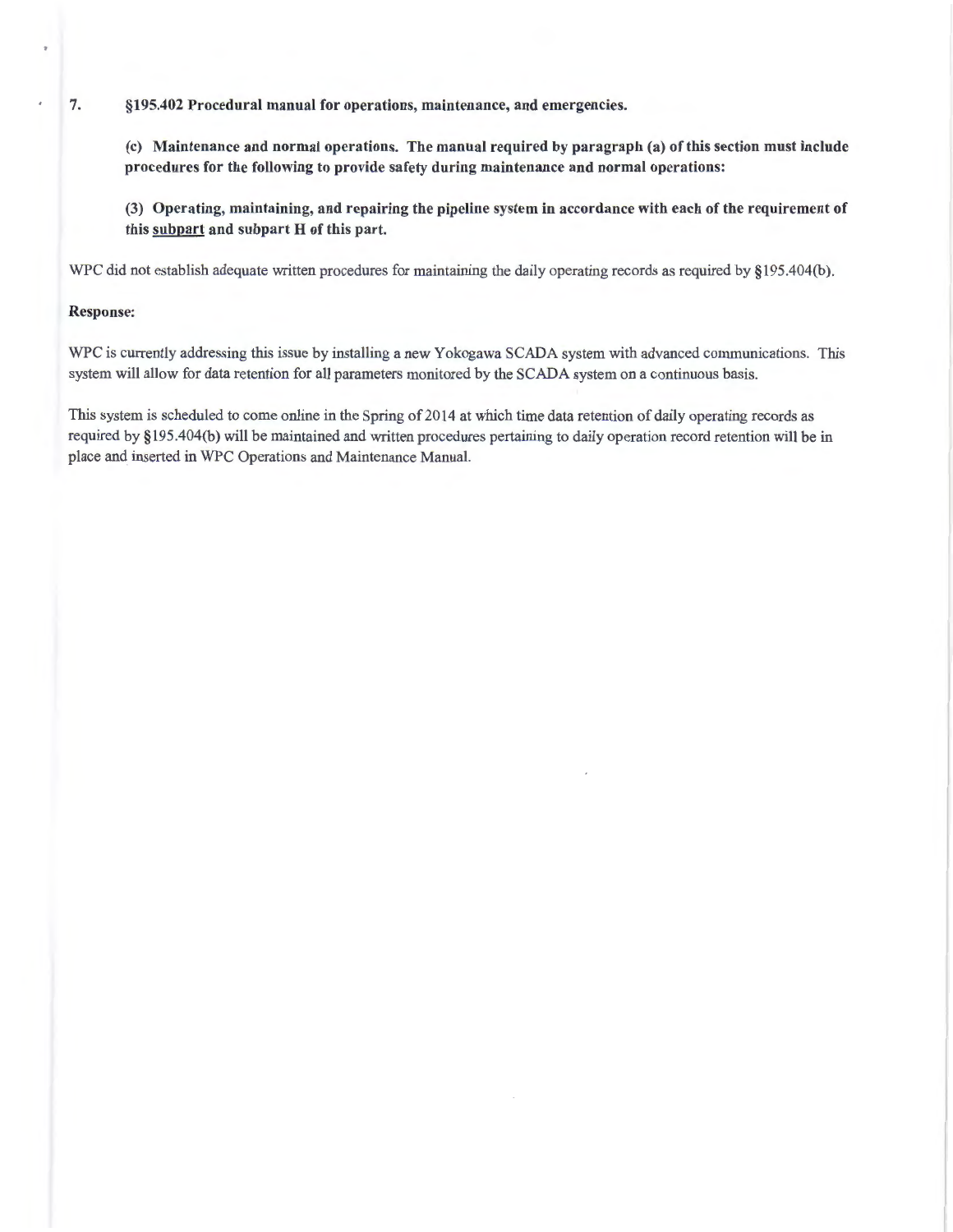(c) Maintenance and normal operations. The manual required by paragraph (a) of this section must include procedures for the following to provide safety during maintenance and normal operations:

(3) Operating, maintaining, and repairing the pipeline system in accordance with each of the requirement of this subpart and subpart H of this part.

WPC did not establish adequate written procedures for maintaining the daily operating records as required by §195.404(b).

# Response:

WPC is currently addressing this issue by installing a new Yokogawa SCADA system with advanced communications. This system will allow for data retention for all parameters monitored by the SCADA system on a continuous basis.

This system is scheduled to come online in the Spring of 2014 at which time data retention of daily operating records as required by § 19 5 .404(b) will be maintained and written procedures pertaining to daily operation record retention will be in place and inserted in WPC Operations and Maintenance Manual.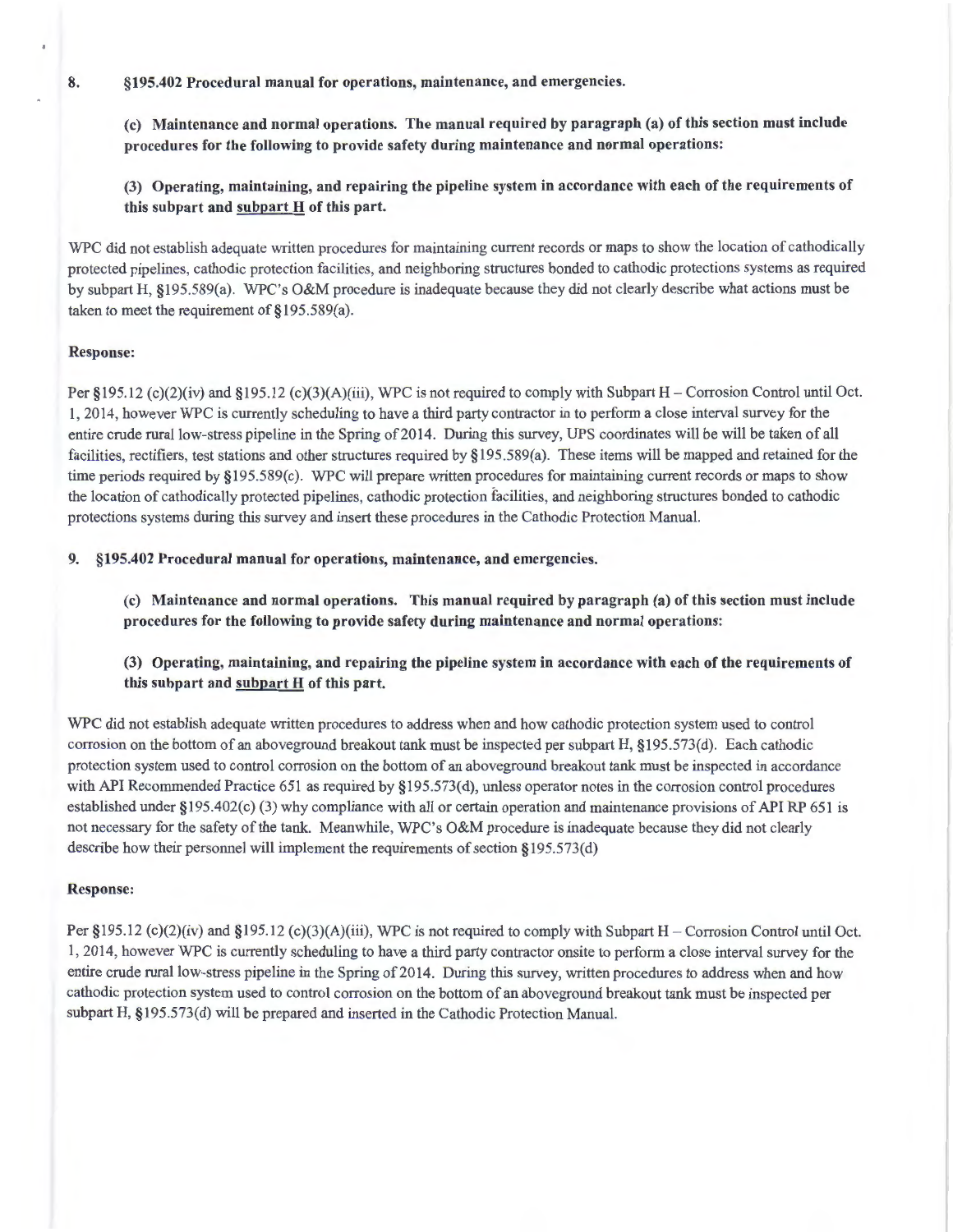(c) Maintenance and normal operations. The manual required by paragraph (a) of this section must include procedures for the following to provide safety during maintenance and normal operations:

(3) Operating, maintaining, and repairing the pipeline system in accordance with each of the requirements of this subpart and subpart  $H$  of this part.

WPC did not establish adequate written procedures for maintaining current records or maps to show the location of cathodically protected pipelines, cathodic protection facilities, and neighboring structures bonded to cathodic protections systems as required by subpart H, §195.589(a). WPC's O&M procedure is inadequate because they did not clearly describe what actions must be taken to meet the requirement of §195.589(a).

## Response:

Per § 195.12 (c)(2)(iv) and § 195.12 (c)(3)(A)(iii), WPC is not required to comply with Subpart H – Corrosion Control until Oct. 1, 2014, however WPC is currently scheduling to have a third party contractor in to perform a close interval survey for the entire crude rural low-stress pipeline in the Spring of 2014. During this survey, UPS coordinates will be will be taken of all facilities, rectifiers, test stations and other structures required by §195.589(a). These items will be mapped and retained for the time periods required by §195.589(c). WPC will prepare written procedures for maintaining current records or maps to show the location of cathodically protected pipelines, cathodic protection facilities, and neighboring structures bonded to cathodic protections systems during this survey and insert these procedures in the Cathodic Protection Manual.

### 9. §195.402 Procedural manual for operations, maintenance, and emergencies.

(c) Maintenance and normal operations. This manual required by paragraph (a) of this section must include procedures for the following to provide safety during maintenance and normal operations:

# (3) Operating, maintaining, and repairing the pipeline system in accordance with each of the requirements of this subpart and subpart  $H$  of this part.

WPC did not establish adequate written procedures to address when and how cathodic protection system used to control corrosion on the bottom of an aboveground breakout tank must be inspected per subpart H, §195.573(d). Each cathodic protection system used to control corrosion on the bottom of an aboveground breakout tank must be inspected in accordance with API Recommended Practice 651 as required by §195.573(d), unless operator notes in the corrosion control procedures established under §195.402(c) (3) why compliance with all or certain operation and maintenance provisions of API RP 651 is not necessary for the safety of the tank. Meanwhile, WPC's O&M procedure is inadequate because they did not clearly describe how their personnel will implement the requirements of section §195.573(d)

#### Response:

Per §195.12 (c)(2)(iv) and §195.12 (c)(3)(A)(iii), WPC is not required to comply with Subpart H – Corrosion Control until Oct. 1, 2014, however WPC is currently scheduling to have a third party contractor onsite to perform a close interval survey for the entire crude rural low-stress pipeline in the Spring of 2014. During this survey, written procedures to address when and how cathodic protection system used to control corrosion on the bottom of an aboveground breakout tank must be inspected per subpart H, §195.573(d) will be prepared and inserted in the Cathodic Protection Manual.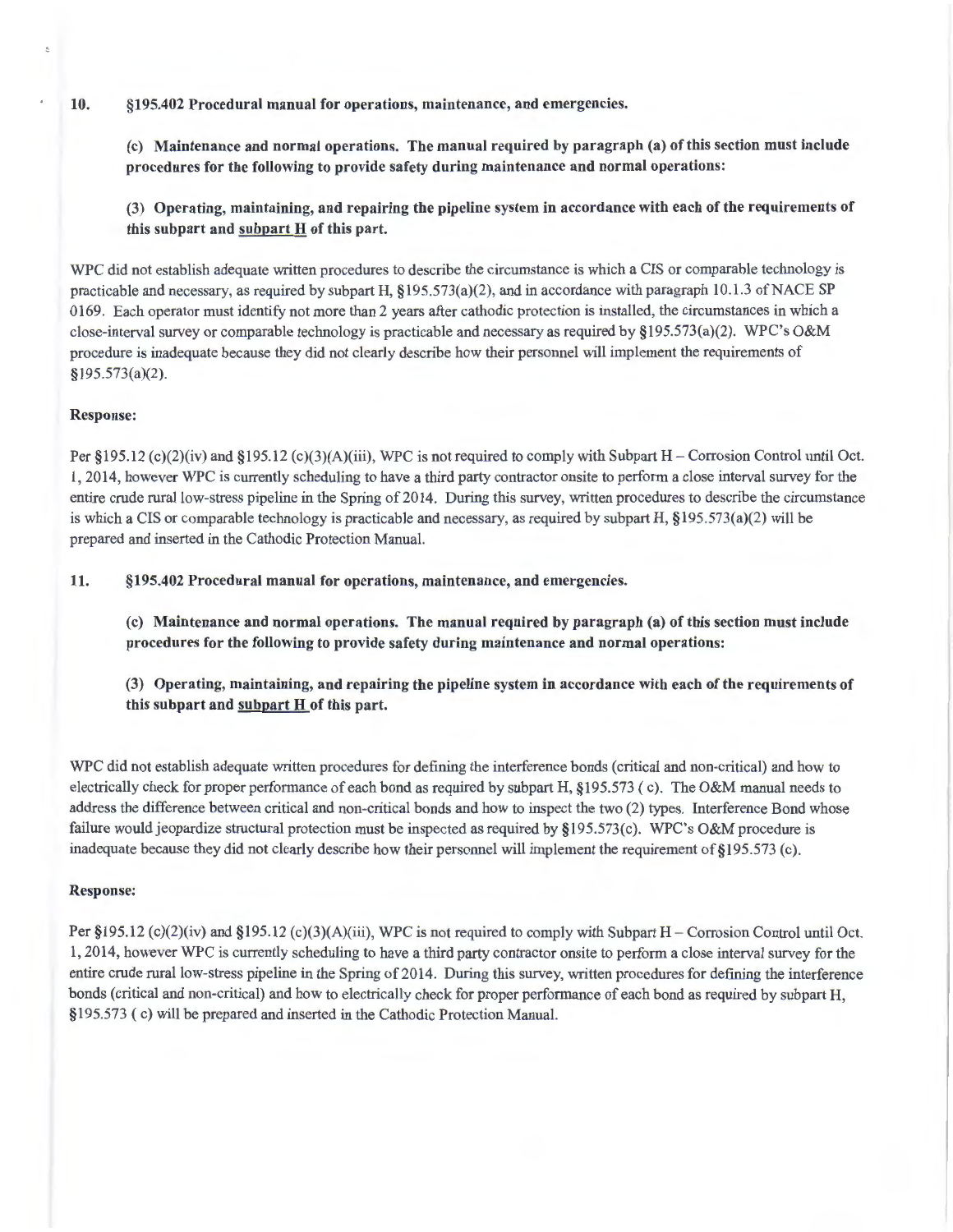(c) Maintenance and normal operations. The manual required by paragraph (a) of this section must include procedures for the following to provide safety during maintenance and normal operations:

(3) Operating, maintaining, and repairing the pipeline system in accordance with each of the requirements of this subpart and subpart H of this part.

WPC did not establish adequate written procedures to describe the circumstance is which a CIS or comparable technology is practicable and necessary, as required by subpart H, §195.573(a)(2), and in accordance with paragraph 10.1.3 of NACE SP 0169. Each operator must identify not more than 2 years after cathodic protection is installed, the circumstances in which a close-interval survey or comparable technology is practicable and necessary as required by §195.573(a)(2). WPC's O&M procedure is inadequate because they did not clearly describe how their personnel will implement the requirements of §195.573(a)(2).

## Response:

Per  $\S 195.12$  (c)(2)(iv) and  $\S 195.12$  (c)(3)(A)(iii), WPC is not required to comply with Subpart H – Corrosion Control until Oct. 1, 2014, however WPC is currently scheduling to have a third party contractor onsite to perform a close interval survey for the entire crude rural low-stress pipeline in the Spring of 2014. During this survey, written procedures to describe the circumstance is which a CIS or comparable technology is practicable and necessary, as required by subpart H, §195.573(a)(2) will be prepared and inserted in the Cathodic Protection Manual.

11. §195.402 Procedural manual for operations, maintenance, and emergencies.

(c) Maintenance and normal operations. The manual required by paragraph (a) of this section must include procedures for the following to provide safety during maintenance and normal operations:

(3) Operating, maintaining, and repairing the pipeline system in accordance with each of the requirements of this subpart and subpart H of this part.

WPC did not establish adequate written procedures for defining the interference bonds (critical and non-critical) and how to electrically check for proper performance of each bond as required by subpart H, §195.573 (c). The O&M manual needs to address the difference between critical and non-critical bonds and how to inspect the two (2) types. Interference Bond whose failure would jeopardize structural protection must be inspected as required by §195.573(c). WPC's O&M procedure is inadequate because they did not clearly describe how their personnel will implement the requirement of §195.573 (c).

# Response:

Per  $\S 195.12$  (c)(2)(iv) and  $\S 195.12$  (c)(3)(A)(iii), WPC is not required to comply with Subpart H – Corrosion Control until Oct. 1, 2014, however WPC is currently scheduling to have a third party contractor onsite to perform a close interval survey for the entire crude rural low-stress pipeline in the Spring of 2014. During this survey, written procedures for defining the interference bonds (critical and non-critical) and how to electrically check for proper performance of each bond as required by subpart H, § 195.573 (c) will be prepared and inserted in the Cathodic Protection Manual.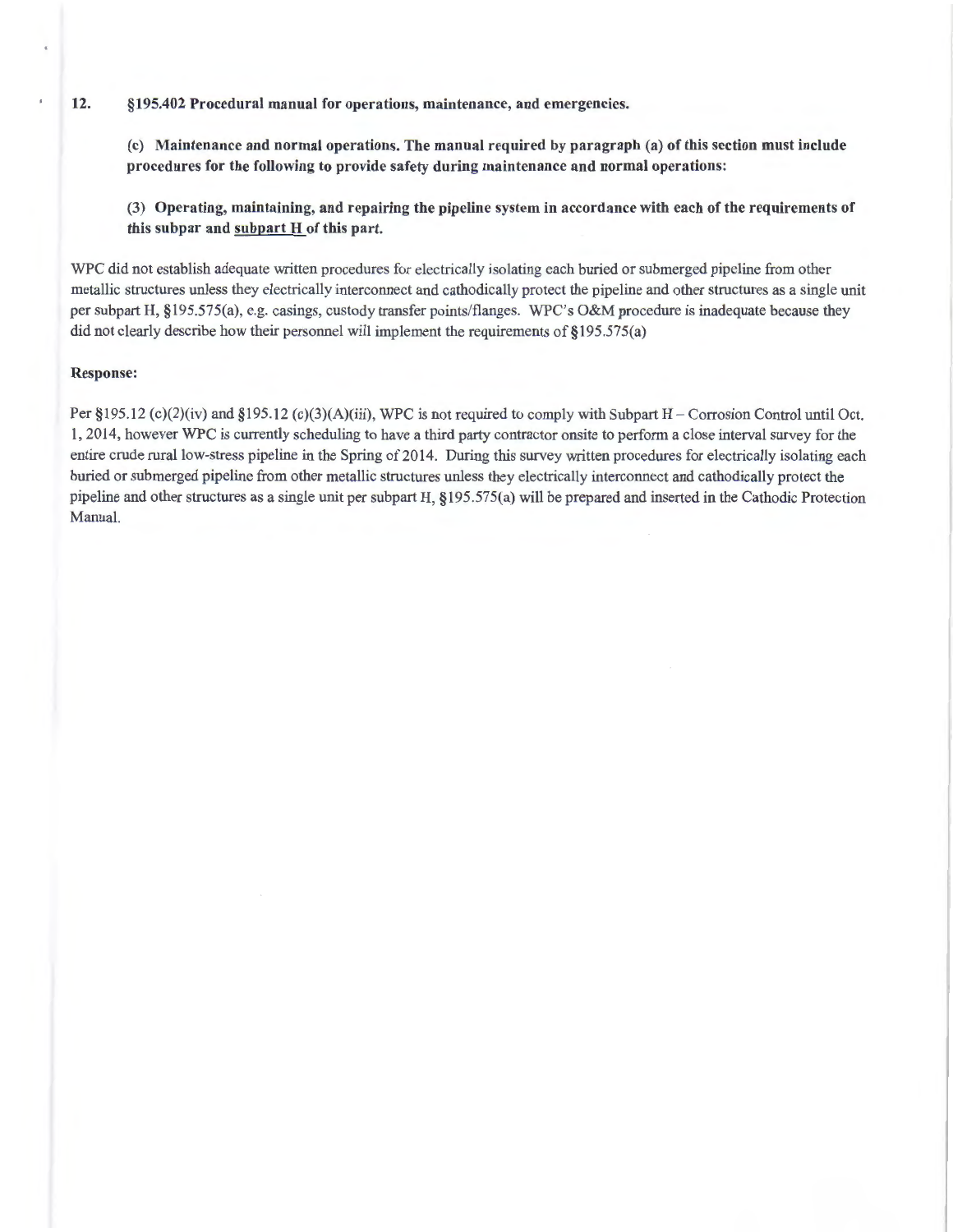(c) Maintenance and normal operations. The manual required by paragraph (a) of this section must include procedures for the following to provide safety during maintenance and normal operations:

(3) Operating, maintaining, and repairing the pipeline system in accordance with each of the requirements of this subpar and subpart H of this part.

WPC did not establish adequate written procedures for electrically isolating each buried or submerged pipeline from other metallic structures unless they electrically interconnect and cathodically protect the pipeline and other structures as a single unit per subpart H, §195.575(a), e.g. casings, custody transfer points/flanges. WPC's O&M procedure is inadequate because they did not clearly describe how their personnel will implement the requirements of §195.575(a)

#### Response:

Per §195.12 (c)(2)(iv) and §195.12 (c)(3)(A)(iii), WPC is not required to comply with Subpart H – Corrosion Control until Oct. 1, 2014, however WPC is currently scheduling to have a third party contractor onsite to perform a close interval survey for the entire crude rural low-stress pipeline in the Spring of 2014. During this survey written procedures for electrically isolating each buried or submerged pipeline from other metallic structures unless they electrically interconnect and cathodically protect the pipeline and other structures as a single unit per subpart H, §195.575(a) will be prepared and inserted in the Cathodic Protection Manual.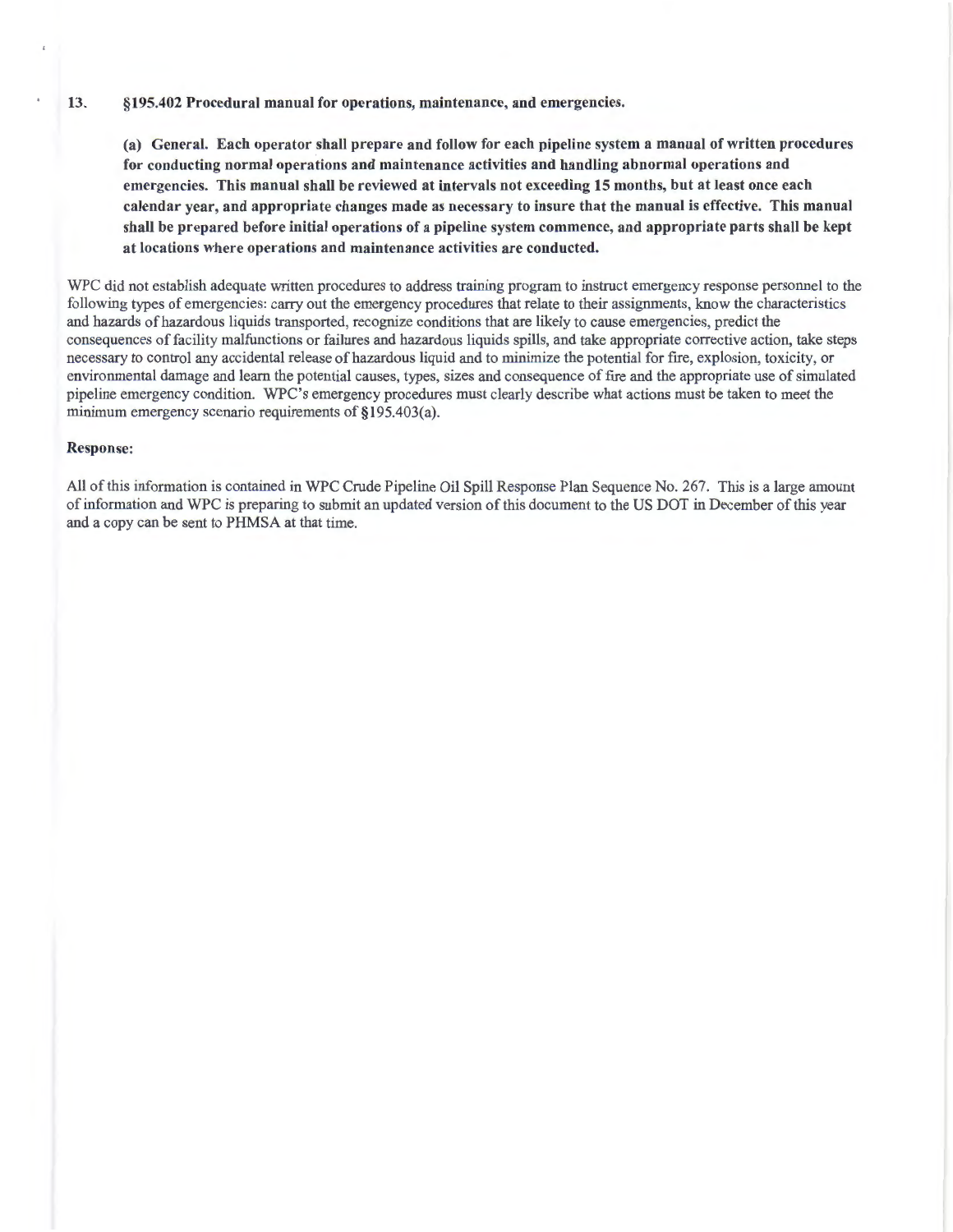(a) General. Each operator shall prepare and follow for each pipeline system a manual of written procedures for conducting normal operations and maintenance activities and handling abnormal operations and emergencies. This manual shall be reviewed at intervals not exceeding 15 months, but at least once each calendar year, and appropriate changes made as necessary to insure that the manual is effective. This manual shall be prepared before initial operations of a pipeline system commence, and appropriate parts shall be kept at locations where operations and maintenance activities are conducted.

WPC did not establish adequate written procedures to address training program to instruct emergency response personnel to the following types of emergencies: carry out the emergency procedures that relate to their assignments, know the characteristics and hazards of hazardous liquids transported, recognize conditions that are likely to cause emergencies, predict the consequences of facility malfunctions or failures and hazardous liquids spills, and take appropriate corrective action, take steps necessary to control any accidental release of hazardous liquid and to minimize the potential for fire , explosion, toxicity, or environmental damage and learn the potential causes, types, sizes and consequence of fire and the appropriate use of simulated pipeline emergency condition. WPC's emergency procedures must clearly describe what actions must be taken to meet the minimum emergency scenario requirements of §195.403(a).

#### Response:

All of this information is contained in WPC Crude Pipeline Oil Spill Response Plan Sequence No. 267. This is a large amount of information and WPC is preparing to submit an updated version of this document to the US DOT in December of this year and a copy can be sent to PHMSA at that time.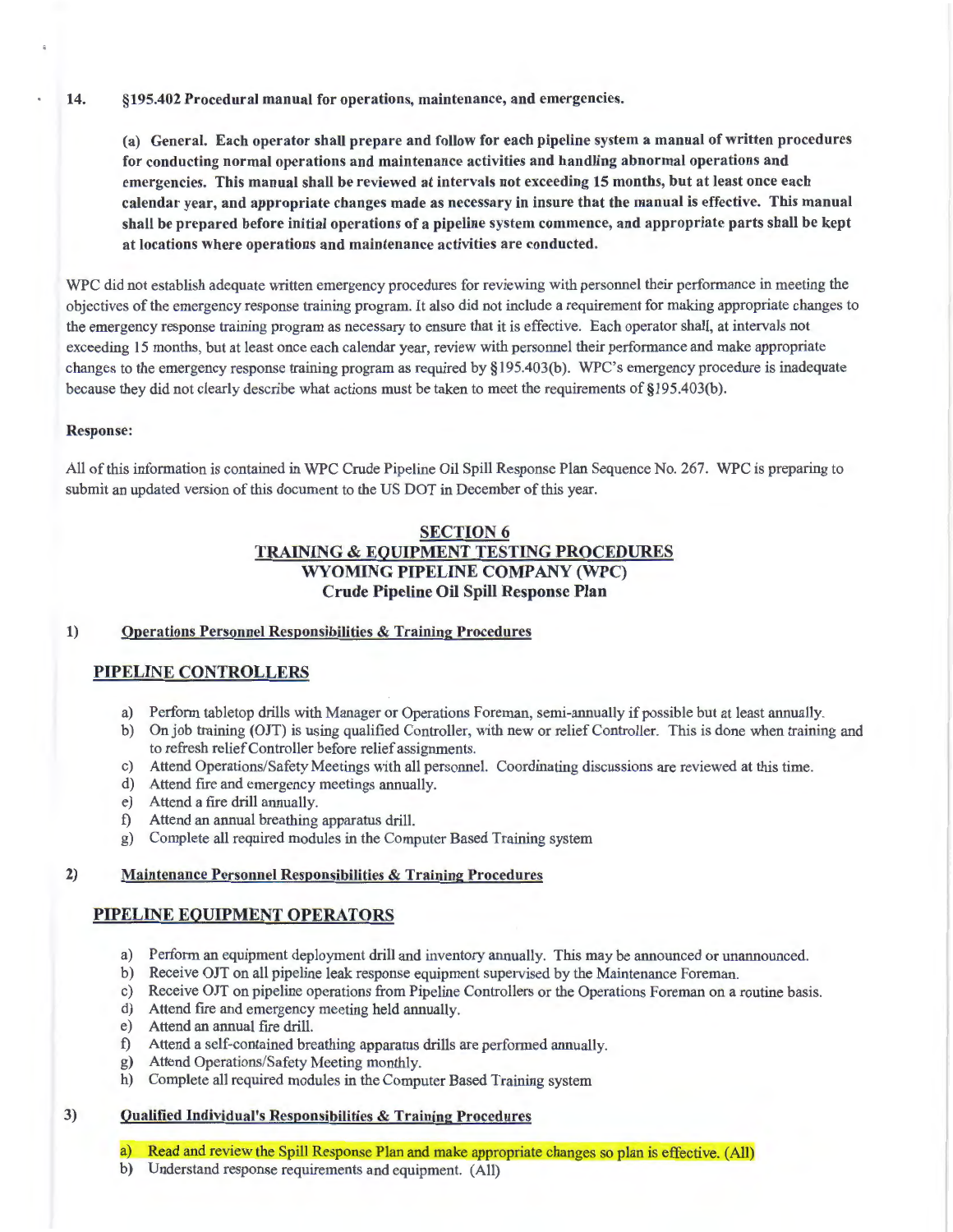(a) General. Each operator shall prepare and follow for each pipeline system a manual of written procedures for conducting normal operations and maintenance activities and handling abnormal operations and emergencies. This manual shall be reviewed at intervals not exceeding 15 months, but at least once each calendar year, and appropriate changes made as necessary in insure that the manual is effective. This manual shall be prepared before initial operations of a pipeline system commence, and appropriate parts shall be kept at locations where operations and maintenance activities are conducted.

WPC did not establish adequate written emergency procedures for reviewing with personnel their performance in meeting the objectives of the emergency response training program. It also did not include a requirement for making appropriate changes to the emergency response training program as necessary to ensure that it is effective. Each operator shall, at intervals not exceeding 15 months, but at least once each calendar year, review with personnel their performance and make appropriate changes to the emergency response training program as required by §195.403(b). WPC's emergency procedure is inadequate because they did not clearly describe what actions must be taken to meet the requirements of §195.403(b).

# Response:

All of this information is contained in WPC Crude Pipeline Oil Spill Response Plan Sequence No. 267. WPC is preparing to submit an updated version of this document to the US DOT in December of this year.

# SECTION 6 TRAINING & EQUIPMENT TESTING PROCEDURES WYOMING PIPELINE COMPANY (WPC) Crude Pipeline Oil Spill Response Plan

# 1) Operations Personnel Responsibilities & Training Procedures

# PIPELINE CONTROLLERS

- a) Perform tabletop drills with Manager or Operations Foreman, semi-annually if possible but at least annually.
- b) On job training (OJT) is using qualified Controller, with new or relief Controller. This is done when training and to refresh relief Controller before relief assignments.
- c) Attend Operations/Safety Meetings with all personnel. Coordinating discussions are reviewed at this time.
- d) Attend fire and emergency meetings annually.
- e) Attend a fire drill annually.
- f) Attend an annual breathing apparatus drill.
- g) Complete all required modules in the Computer Based Training system

# 2) Maintenance Personnel Responsibilities & Training Procedures

# PIPELINE EQUIPMENT OPERATORS

- a) Perform an equipment deployment drill and inventory annually. This may be announced or unannounced.
- b) Receive OJT on all pipeline leak response equipment supervised by the Maintenance Foreman.
- c) Receive OJT on pipeline operations from Pipeline Controllers or the Operations Foreman on a routine basis.
- d) Attend fire and emergency meeting held annually.
- e) Attend an annual fire drill.
- f) Attend a self-contained breathing apparatus drills are performed annually.
- g) Attend Operations/Safety Meeting monthly.
- h) Complete all required modules in the Computer Based Training system

# 3) Qualified Individual's Responsibilities & Training Procedures

- a) Read and review the Spill Response Plan and make appropriate changes so plan is effective. (All)
- b) Understand response requirements and equipment. (All)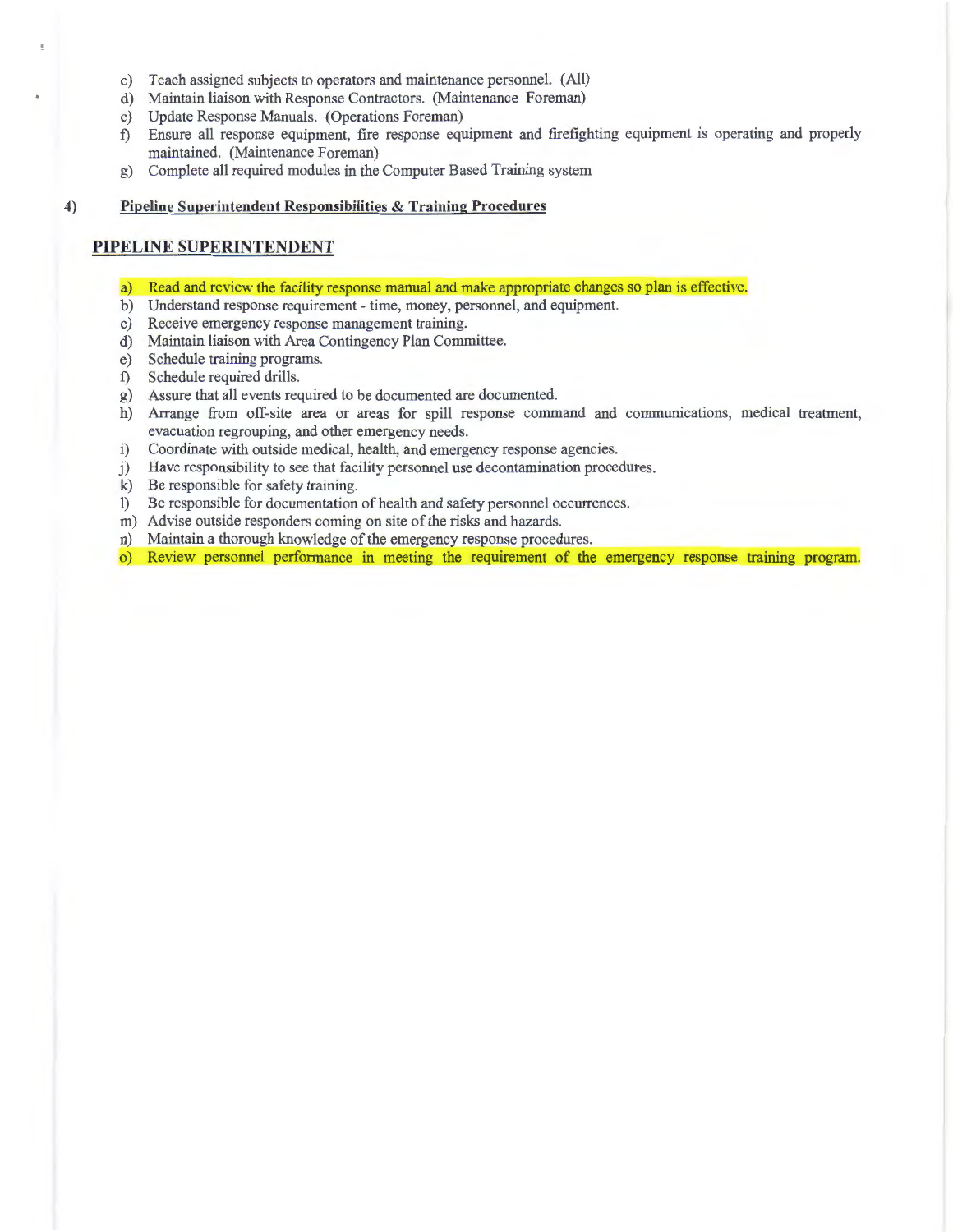- c) Teach assigned subjects to operators and maintenance personnel. (All)
- d) Maintain liaison with Response Contractors. (Maintenance Foreman)
- e) Update Response Manuals. (Operations Foreman)
- f) Ensure all response equipment, fire response equipment and frrefighting equipment is operating and properly maintained. (Maintenance Foreman)
- g) Complete all required modules in the Computer Based Training system

#### **4) Pipeline Superintendent Responsibilities & Training Procedures**

# **PIPELINE SUPERINTENDENT**

- a) Read and review the facility response manual and make appropriate changes so plan is effective.
- b) Understand response requirement- time, money, personnel, and equipment.
- c) Receive emergency response management training.
- d) Maintain liaison with Area Contingency Plan Committee.
- e) Schedule training programs.
- f) Schedule required drills.
- g) Assure that all events required to be documented are documented.
- h) Arrange from off-site area or areas for spill response command and communications, medical treatment, evacuation regrouping, and other emergency needs.
- i) Coordinate with outside medical, health, and emergency response agencies.
- j) Have responsibility to see that facility personnel use decontamination procedures.
- k) Be responsible for safety training.
- **1)** Be responsible for documentation of health and safety personnel occurrences.
- m) Advise outside responders coming on site of the risks and hazards.
- n) Maintain a thorough knowledge of the emergency response procedures.
- o) Review personnel performance in meeting the requirement of the emergency response training program.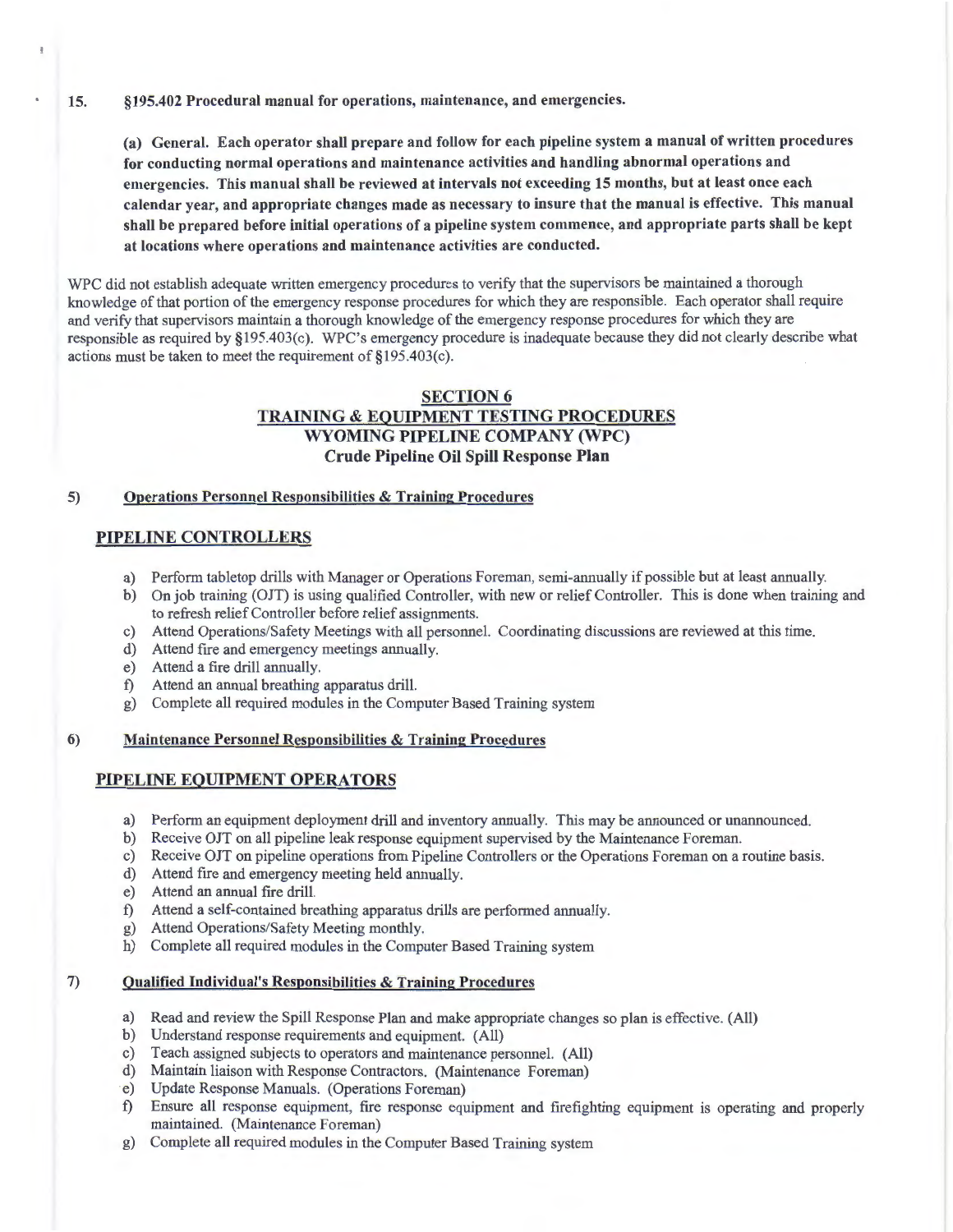(a) General. Each operator shall prepare and follow for each pipeline system a manual of written procedures for conducting normal operations and maintenance activities and handling abnormal operations and emergencies. This manual shall be reviewed at intervals not exceeding 15 months, but at least once each calendar year, and appropriate changes made as necessary to insure that the manual is effective. This manual shall be prepared before initial operations of a pipeline system commence, and appropriate parts shall be kept at locations where operations and maintenance activities are conducted.

WPC did not establish adequate written emergency procedures to verify that the supervisors be maintained a thorough knowledge of that portion of the emergency response procedures for which they are responsible. Each operator shall require and verify that supervisors maintain a thorough knowledge of the emergency response procedures for which they are responsible as required by §195.403(c). WPC's emergency procedure is inadequate because they did not clearly describe what actions must be taken to meet the requirement of §195.403(c).

# SECTION 6 TRAINING & EQUIPMENT TESTING PROCEDURES WYOMING PIPELINE COMPANY (WPC) Crude Pipeline Oil Spill Response Plan

## 5) Operations Personnel Responsibilities & Training Procedures

# PIPELINE CONTROLLERS

- a) Perform tabletop drills with Manager or Operations Foreman, semi-annually if possible but at least annually.
- b) On job training (OJT) is using qualified Controller, with new or relief Controller. This is done when training and to refresh relief Controller before relief assignments.
- c) Attend Operations/Safety Meetings with all personnel. Coordinating discussions are reviewed at this time.
- d) Attend fire and emergency meetings annually.
- e) Attend a fire drill annually.
- f) Attend an annual breathing apparatus drill.
- g) Complete all required modules in the Computer Based Training system

#### 6) Maintenance Personnel Responsibilities & Training Procedures

# PIPELINE EQUIPMENT OPERATORS

- a) Perform an equipment deployment drill and inventory annually. This may be announced or unannounced.
- b) Receive OJT on all pipeline leak response equipment supervised by the Maintenance Foreman.
- c) Receive OJT on pipeline operations from Pipeline Controllers or the Operations Foreman on a routine basis.
- d) Attend fire and emergency meeting held annually.
- e) Attend an annual fire drill.
- f) Attend a self-contained breathing apparatus drills are performed annually.
- g) Attend Operations/Safety Meeting monthly.
- h) Complete all required modules in the Computer Based Training system

# 7) Qualified Individual's Responsibilities & Training Procedures

- a) Read and review the Spill Response Plan and make appropriate changes so plan is effective. (All)
- b) Understand response requirements and equipment. (All)
- c) Teach assigned subjects to operators and maintenance personnel. (All)
- d) Maintain liaison with Response Contractors. (Maintenance Foreman)
- e) Update Response Manuals. (Operations Foreman)
- f) Ensure all response equipment, fire response equipment and frrefighting equipment is operating and properly maintained. (Maintenance Foreman)
- g) Complete all required modules in the Computer Based Training system